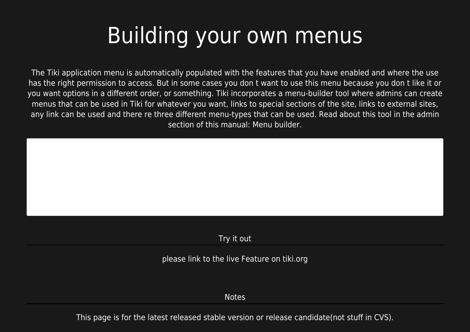## Building your own menus

The Tiki application menu is automatically populated with the features that you have enabled and where the use has the right permission to access. But in some cases you don t want to use this menu because you don t like it or you want options in a different order, or something. Tiki incorporates a menu-builder tool where admins can create menus that can be used in Tiki for whatever you want, links to special sections of the site, links to external sites, any link can be used and there re three different menu-types that can be used. Read about this tool in the admin section of this manual: Menu builder.

Try it out

please link to the live Feature on tiki.org

Notes

This page is for the latest released stable version or release candidate(not stuff in CVS).